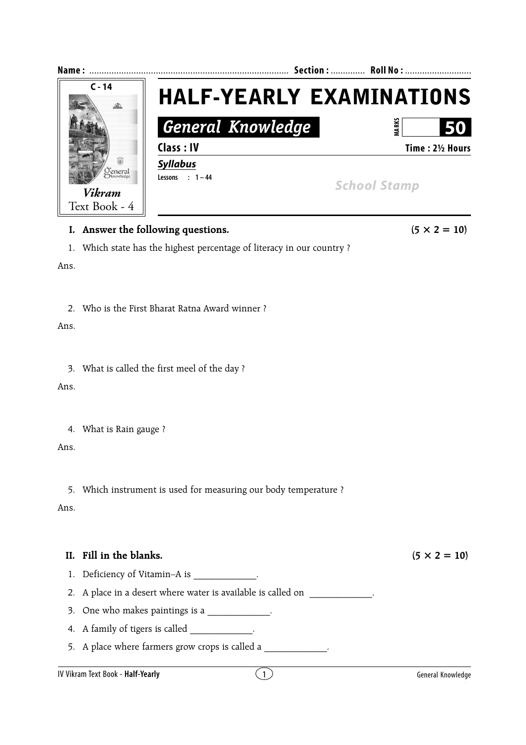

## **I.** Answer the following questions.  $(5 \times 2 = 10)$

1. Which state has the highest percentage of literacy in our country ?

Ans.

2. Who is the First Bharat Ratna Award winner ?

Ans.

3. What is called the first meel of the day ?

Ans.

4. What is Rain gauge ?

Ans.

5. Which instrument is used for measuring our body temperature ?

Ans.

## **II.** Fill in the blanks.  $(5 \times 2 = 10)$

1. Deficiency of Vitamin–A is  $\qquad \qquad$ .

2. A place in a desert where water is available is called on \_\_\_\_\_\_\_\_\_\_\_\_\_\_\_\_\_\_.

3. One who makes paintings is a \_\_\_\_\_\_\_\_\_\_\_\_.

4. A family of tigers is called

5. A place where farmers grow crops is called a  $\blacksquare$ 

## IV Vikram Text Book - **Half-Yearly** 1 General Knowledge